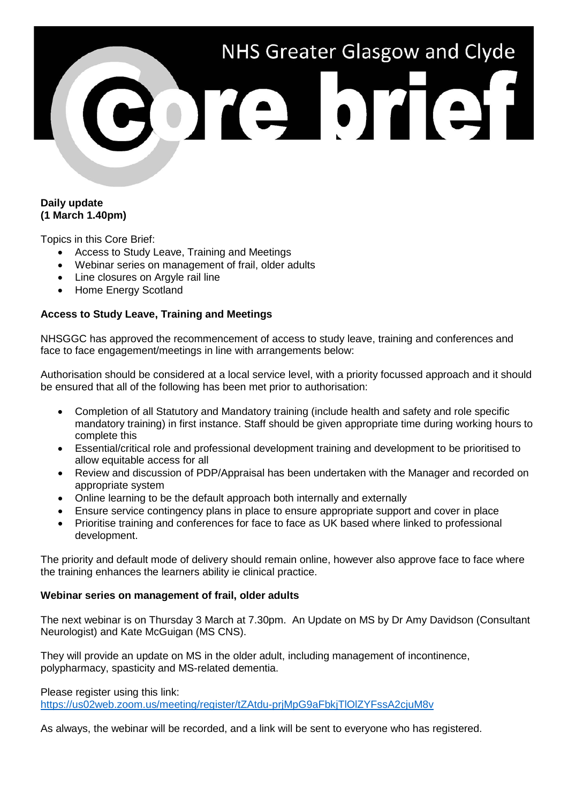# NHS Greater Glasgow and Clyde ore brief

## **Daily update (1 March 1.40pm)**

Topics in this Core Brief:

- Access to Study Leave, Training and Meetings
- Webinar series on management of frail, older adults
- Line closures on Argyle rail line
- Home Energy Scotland

# **Access to Study Leave, Training and Meetings**

NHSGGC has approved the recommencement of access to study leave, training and conferences and face to face engagement/meetings in line with arrangements below:

Authorisation should be considered at a local service level, with a priority focussed approach and it should be ensured that all of the following has been met prior to authorisation:

- Completion of all Statutory and Mandatory training (include health and safety and role specific mandatory training) in first instance. Staff should be given appropriate time during working hours to complete this
- Essential/critical role and professional development training and development to be prioritised to allow equitable access for all
- Review and discussion of PDP/Appraisal has been undertaken with the Manager and recorded on appropriate system
- Online learning to be the default approach both internally and externally
- Ensure service contingency plans in place to ensure appropriate support and cover in place
- Prioritise training and conferences for face to face as UK based where linked to professional development.

The priority and default mode of delivery should remain online, however also approve face to face where the training enhances the learners ability ie clinical practice.

## **Webinar series on management of frail, older adults**

The next webinar is on Thursday 3 March at 7.30pm. An Update on MS by Dr Amy Davidson (Consultant Neurologist) and Kate McGuigan (MS CNS).

They will provide an update on MS in the older adult, including management of incontinence, polypharmacy, spasticity and MS-related dementia.

Please register using this link:

<https://us02web.zoom.us/meeting/register/tZAtdu-prjMpG9aFbkjTlOlZYFssA2cjuM8v>

As always, the webinar will be recorded, and a link will be sent to everyone who has registered.